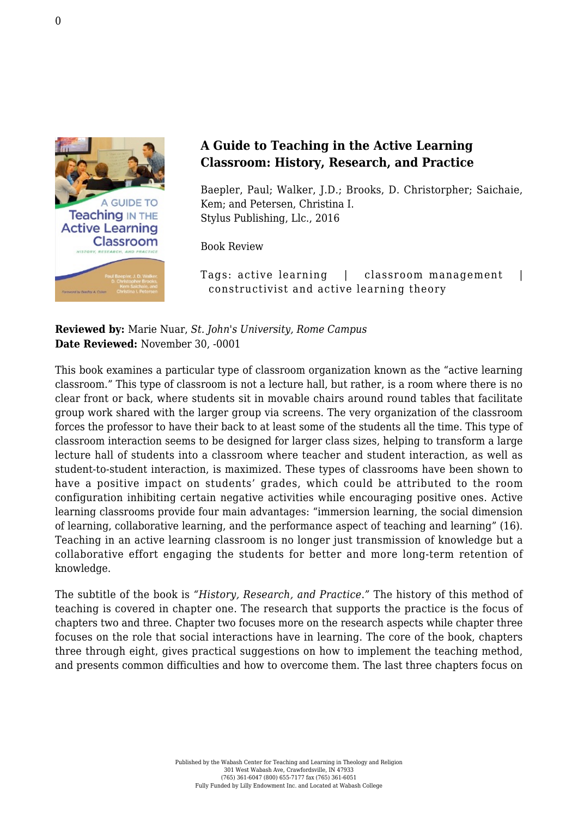

## **A Guide to Teaching in the Active Learning Classroom: History, Research, and Practice**

Baepler, Paul; Walker, J.D.; Brooks, D. Christorpher; Saichaie, Kem; and Petersen, Christina I. [Stylus Publishing, Llc., 2016](https://sty.presswarehouse.com/Books/BookDetail.aspx?productID=441414)

Book Review

Tags: active learning | classroom management | constructivist and active learning theory

**Reviewed by:** Marie Nuar, *St. John's University, Rome Campus* **Date Reviewed:** November 30, -0001

This book examines a particular type of classroom organization known as the "active learning classroom." This type of classroom is not a lecture hall, but rather, is a room where there is no clear front or back, where students sit in movable chairs around round tables that facilitate group work shared with the larger group via screens. The very organization of the classroom forces the professor to have their back to at least some of the students all the time. This type of classroom interaction seems to be designed for larger class sizes, helping to transform a large lecture hall of students into a classroom where teacher and student interaction, as well as student-to-student interaction, is maximized. These types of classrooms have been shown to have a positive impact on students' grades, which could be attributed to the room configuration inhibiting certain negative activities while encouraging positive ones. Active learning classrooms provide four main advantages: "immersion learning, the social dimension of learning, collaborative learning, and the performance aspect of teaching and learning" (16). Teaching in an active learning classroom is no longer just transmission of knowledge but a collaborative effort engaging the students for better and more long-term retention of knowledge.

The subtitle of the book is *"History, Research, and Practice*.*"* The history of this method of teaching is covered in chapter one. The research that supports the practice is the focus of chapters two and three. Chapter two focuses more on the research aspects while chapter three focuses on the role that social interactions have in learning. The core of the book, chapters three through eight, gives practical suggestions on how to implement the teaching method, and presents common difficulties and how to overcome them. The last three chapters focus on